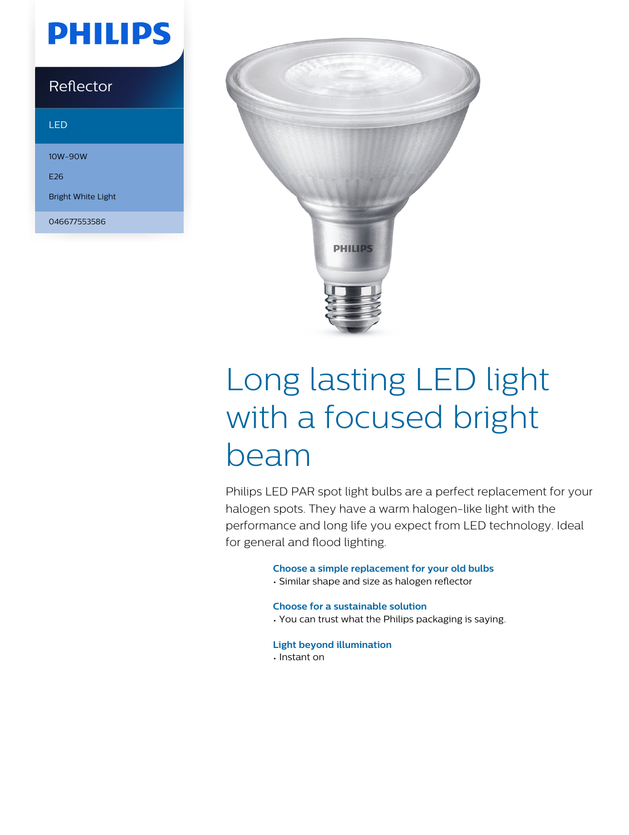## **PHILIPS**

### Reflector

#### LED

10W-90W E26 Bright White Light

046677553586



# Long lasting LED light with a focused bright beam

Philips LED PAR spot light bulbs are a perfect replacement for your halogen spots. They have a warm halogen-like light with the performance and long life you expect from LED technology. Ideal for general and flood lighting.

#### **Choose a simple replacement for your old bulbs**

• Similar shape and size as halogen reflector

#### **Choose for a sustainable solution**

- You can trust what the Philips packaging is saying.
- **Light beyond illumination**
- Instant on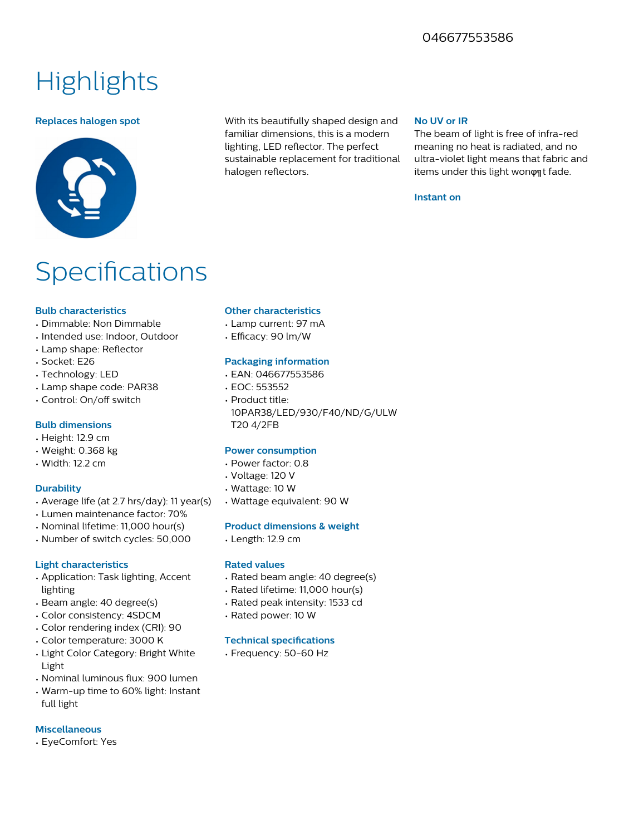### 046677553586

### **Highlights**



**Replaces halogen spot** With its beautifully shaped design and familiar dimensions, this is a modern lighting, LED reflector. The perfect sustainable replacement for traditional halogen reflectors.

#### **No UV or IR**

The beam of light is free of infra-red meaning no heat is radiated, and no ultra-violet light means that fabric and items under this light wonφat fade.

#### **Instant on**

### **Specifications**

#### **Bulb characteristics**

- Dimmable: Non Dimmable
- Intended use: Indoor, Outdoor
- Lamp shape: Reflector
- Socket: E26
- Technology: LED
- Lamp shape code: PAR38
- Control: On/off switch

#### **Bulb dimensions**

- Height: 12.9 cm
- Weight: 0.368 kg
- Width: 12.2 cm

#### **Durability**

- Average life (at 2.7 hrs/day): 11 year(s)
- Lumen maintenance factor: 70%
- Nominal lifetime: 11,000 hour(s)
- Number of switch cycles: 50,000

#### **Light characteristics**

- Application: Task lighting, Accent lighting
- Beam angle: 40 degree(s)
- Color consistency: 4SDCM
- Color rendering index (CRI): 90
- Color temperature: 3000 K
- Light Color Category: Bright White Light
- Nominal luminous flux: 900 lumen
- Warm-up time to 60% light: Instant full light

#### **Miscellaneous**

• EyeComfort: Yes

#### **Other characteristics**

- Lamp current: 97 mA
- Efficacy: 90 lm/W

#### **Packaging information**

- EAN: 046677553586
- EOC: 553552
- Product title: 10PAR38/LED/930/F40/ND/G/ULW T20 4/2FB

#### **Power consumption**

- Power factor: 0.8
- Voltage: 120 V
- Wattage: 10 W
- Wattage equivalent: 90 W

#### **Product dimensions & weight**

• Length: 12.9 cm

#### **Rated values**

- Rated beam angle: 40 degree(s)
- Rated lifetime: 11,000 hour(s)
- Rated peak intensity: 1533 cd
- Rated power: 10 W

#### **Technical specifications**

• Frequency: 50-60 Hz